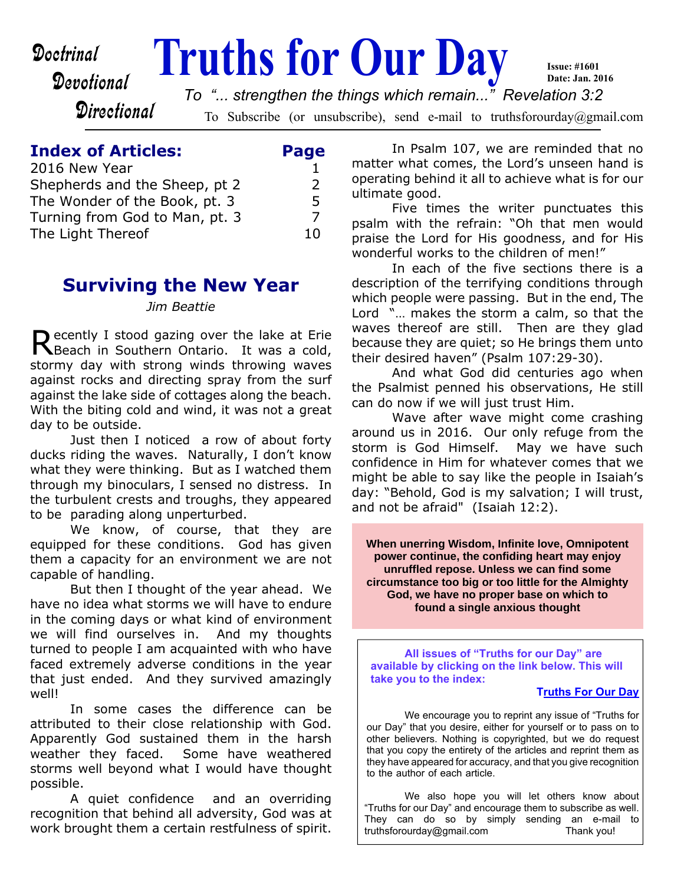# Devotional

**Doctrinal Truths for Our Day Date: Jan. 2016** *To "... strengthen the things which remain..." Revelation 3:2*

**Directional** 

To Subscribe (or unsubscribe), send e-mail to truthsforourday@gmail.com

#### **Index of Articles: Page**

| 2016 New Year                  |     |
|--------------------------------|-----|
| Shepherds and the Sheep, pt 2  |     |
| The Wonder of the Book, pt. 3  | ъ.  |
| Turning from God to Man, pt. 3 |     |
| The Light Thereof              | 1 N |

### **Surviving the New Year**

#### *Jim Beattie*

Recently I stood gazing over the lake at Erie<br>Reach in Southern Ontario. It was a cold, Beach in Southern Ontario. It was a cold, stormy day with strong winds throwing waves against rocks and directing spray from the surf against the lake side of cottages along the beach. With the biting cold and wind, it was not a great day to be outside.

Just then I noticed a row of about forty ducks riding the waves. Naturally, I don't know what they were thinking. But as I watched them through my binoculars, I sensed no distress. In the turbulent crests and troughs, they appeared to be parading along unperturbed.

We know, of course, that they are equipped for these conditions. God has given them a capacity for an environment we are not capable of handling.

But then I thought of the year ahead. We have no idea what storms we will have to endure in the coming days or what kind of environment we will find ourselves in. And my thoughts turned to people I am acquainted with who have faced extremely adverse conditions in the year that just ended. And they survived amazingly well!

In some cases the difference can be attributed to their close relationship with God. Apparently God sustained them in the harsh weather they faced. Some have weathered storms well beyond what I would have thought possible.

A quiet confidence and an overriding recognition that behind all adversity, God was at work brought them a certain restfulness of spirit.

In Psalm 107, we are reminded that no matter what comes, the Lord's unseen hand is operating behind it all to achieve what is for our ultimate good.

**Issue: #1601**

Five times the writer punctuates this psalm with the refrain: "Oh that men would praise the Lord for His goodness, and for His wonderful works to the children of men!"

In each of the five sections there is a description of the terrifying conditions through which people were passing. But in the end, The Lord "… makes the storm a calm, so that the waves thereof are still. Then are they glad because they are quiet; so He brings them unto their desired haven" (Psalm 107:29-30).

And what God did centuries ago when the Psalmist penned his observations, He still can do now if we will just trust Him.

Wave after wave might come crashing around us in 2016. Our only refuge from the storm is God Himself. May we have such confidence in Him for whatever comes that we might be able to say like the people in Isaiah's day: "Behold, God is my salvation; I will trust, and not be afraid" (Isaiah 12:2).

**When unerring Wisdom, Infinite love, Omnipotent power continue, the confiding heart may enjoy unruffled repose. Unless we can find some circumstance too big or too little for the Almighty God, we have no proper base on which to found a single anxious thought**

**All issues of "Truths for our Day" are available by clicking on the link below. This will take you to the index:**

#### **T[ruths For Our Day](http://truthsforourday.com)**

 We encourage you to reprint any issue of "Truths for our Day" that you desire, either for yourself or to pass on to other believers. Nothing is copyrighted, but we do request that you copy the entirety of the articles and reprint them as they have appeared for accuracy, and that you give recognition to the author of each article.

We also hope you will let others know about "Truths for our Day" and encourage them to subscribe as well. They can do so by simply sending an e-mail to truthsforourday@gmail.com Thank you!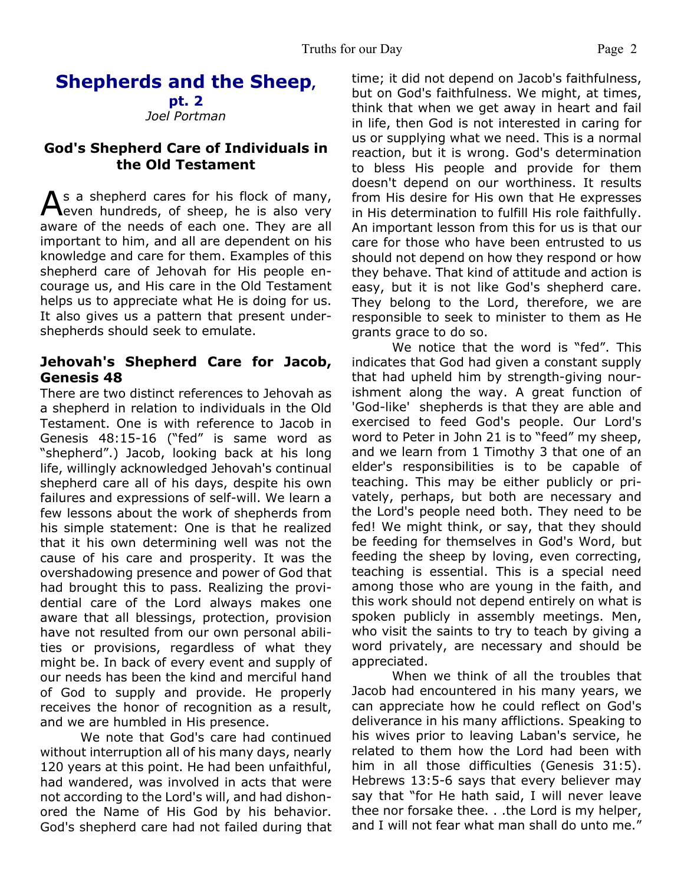## **Shepherds and the Sheep,**

**pt. 2** *Joel Portman*

#### **God's Shepherd Care of Individuals in the Old Testament**

As a shepherd cares for his flock of many,<br>Neven hundreds, of sheep, he is also very even hundreds, of sheep, he is also very aware of the needs of each one. They are all important to him, and all are dependent on his knowledge and care for them. Examples of this shepherd care of Jehovah for His people encourage us, and His care in the Old Testament helps us to appreciate what He is doing for us. It also gives us a pattern that present undershepherds should seek to emulate.

#### **Jehovah's Shepherd Care for Jacob, Genesis 48**

There are two distinct references to Jehovah as a shepherd in relation to individuals in the Old Testament. One is with reference to Jacob in Genesis 48:15-16 ("fed" is same word as "shepherd".) Jacob, looking back at his long life, willingly acknowledged Jehovah's continual shepherd care all of his days, despite his own failures and expressions of self-will. We learn a few lessons about the work of shepherds from his simple statement: One is that he realized that it his own determining well was not the cause of his care and prosperity. It was the overshadowing presence and power of God that had brought this to pass. Realizing the providential care of the Lord always makes one aware that all blessings, protection, provision have not resulted from our own personal abilities or provisions, regardless of what they might be. In back of every event and supply of our needs has been the kind and merciful hand of God to supply and provide. He properly receives the honor of recognition as a result, and we are humbled in His presence.

 We note that God's care had continued without interruption all of his many days, nearly 120 years at this point. He had been unfaithful, had wandered, was involved in acts that were not according to the Lord's will, and had dishonored the Name of His God by his behavior. God's shepherd care had not failed during that time; it did not depend on Jacob's faithfulness, but on God's faithfulness. We might, at times, think that when we get away in heart and fail in life, then God is not interested in caring for us or supplying what we need. This is a normal reaction, but it is wrong. God's determination to bless His people and provide for them doesn't depend on our worthiness. It results from His desire for His own that He expresses in His determination to fulfill His role faithfully. An important lesson from this for us is that our care for those who have been entrusted to us should not depend on how they respond or how they behave. That kind of attitude and action is easy, but it is not like God's shepherd care. They belong to the Lord, therefore, we are responsible to seek to minister to them as He grants grace to do so.

 We notice that the word is "fed". This indicates that God had given a constant supply that had upheld him by strength-giving nourishment along the way. A great function of 'God-like' shepherds is that they are able and exercised to feed God's people. Our Lord's word to Peter in John 21 is to "feed" my sheep, and we learn from 1 Timothy 3 that one of an elder's responsibilities is to be capable of teaching. This may be either publicly or privately, perhaps, but both are necessary and the Lord's people need both. They need to be fed! We might think, or say, that they should be feeding for themselves in God's Word, but feeding the sheep by loving, even correcting, teaching is essential. This is a special need among those who are young in the faith, and this work should not depend entirely on what is spoken publicly in assembly meetings. Men, who visit the saints to try to teach by giving a word privately, are necessary and should be appreciated.

 When we think of all the troubles that Jacob had encountered in his many years, we can appreciate how he could reflect on God's deliverance in his many afflictions. Speaking to his wives prior to leaving Laban's service, he related to them how the Lord had been with him in all those difficulties (Genesis 31:5). Hebrews 13:5-6 says that every believer may say that "for He hath said, I will never leave thee nor forsake thee. . .the Lord is my helper, and I will not fear what man shall do unto me."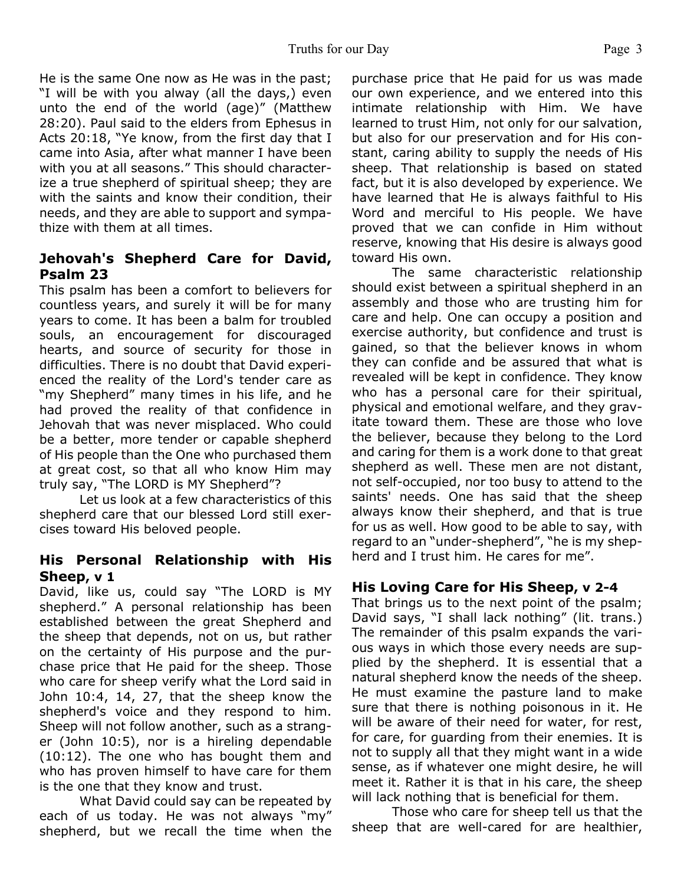He is the same One now as He was in the past; "I will be with you alway (all the days,) even unto the end of the world (age)" (Matthew 28:20). Paul said to the elders from Ephesus in Acts 20:18, "Ye know, from the first day that I came into Asia, after what manner I have been with you at all seasons." This should characterize a true shepherd of spiritual sheep; they are with the saints and know their condition, their needs, and they are able to support and sympathize with them at all times.

#### **Jehovah's Shepherd Care for David, Psalm 23**

This psalm has been a comfort to believers for countless years, and surely it will be for many years to come. It has been a balm for troubled souls, an encouragement for discouraged hearts, and source of security for those in difficulties. There is no doubt that David experienced the reality of the Lord's tender care as "my Shepherd" many times in his life, and he had proved the reality of that confidence in Jehovah that was never misplaced. Who could be a better, more tender or capable shepherd of His people than the One who purchased them at great cost, so that all who know Him may truly say, "The LORD is MY Shepherd"?

 Let us look at a few characteristics of this shepherd care that our blessed Lord still exercises toward His beloved people.

#### **His Personal Relationship with His Sheep, v 1**

David, like us, could say "The LORD is MY shepherd." A personal relationship has been established between the great Shepherd and the sheep that depends, not on us, but rather on the certainty of His purpose and the purchase price that He paid for the sheep. Those who care for sheep verify what the Lord said in John 10:4, 14, 27, that the sheep know the shepherd's voice and they respond to him. Sheep will not follow another, such as a stranger (John 10:5), nor is a hireling dependable (10:12). The one who has bought them and who has proven himself to have care for them is the one that they know and trust.

 What David could say can be repeated by each of us today. He was not always "my" shepherd, but we recall the time when the purchase price that He paid for us was made our own experience, and we entered into this intimate relationship with Him. We have learned to trust Him, not only for our salvation, but also for our preservation and for His constant, caring ability to supply the needs of His sheep. That relationship is based on stated fact, but it is also developed by experience. We have learned that He is always faithful to His Word and merciful to His people. We have proved that we can confide in Him without reserve, knowing that His desire is always good toward His own.

 The same characteristic relationship should exist between a spiritual shepherd in an assembly and those who are trusting him for care and help. One can occupy a position and exercise authority, but confidence and trust is gained, so that the believer knows in whom they can confide and be assured that what is revealed will be kept in confidence. They know who has a personal care for their spiritual, physical and emotional welfare, and they gravitate toward them. These are those who love the believer, because they belong to the Lord and caring for them is a work done to that great shepherd as well. These men are not distant, not self-occupied, nor too busy to attend to the saints' needs. One has said that the sheep always know their shepherd, and that is true for us as well. How good to be able to say, with regard to an "under-shepherd", "he is my shepherd and I trust him. He cares for me".

#### **His Loving Care for His Sheep, v 2-4**

That brings us to the next point of the psalm; David says, "I shall lack nothing" (lit. trans.) The remainder of this psalm expands the various ways in which those every needs are supplied by the shepherd. It is essential that a natural shepherd know the needs of the sheep. He must examine the pasture land to make sure that there is nothing poisonous in it. He will be aware of their need for water, for rest, for care, for guarding from their enemies. It is not to supply all that they might want in a wide sense, as if whatever one might desire, he will meet it. Rather it is that in his care, the sheep will lack nothing that is beneficial for them.

 Those who care for sheep tell us that the sheep that are well-cared for are healthier,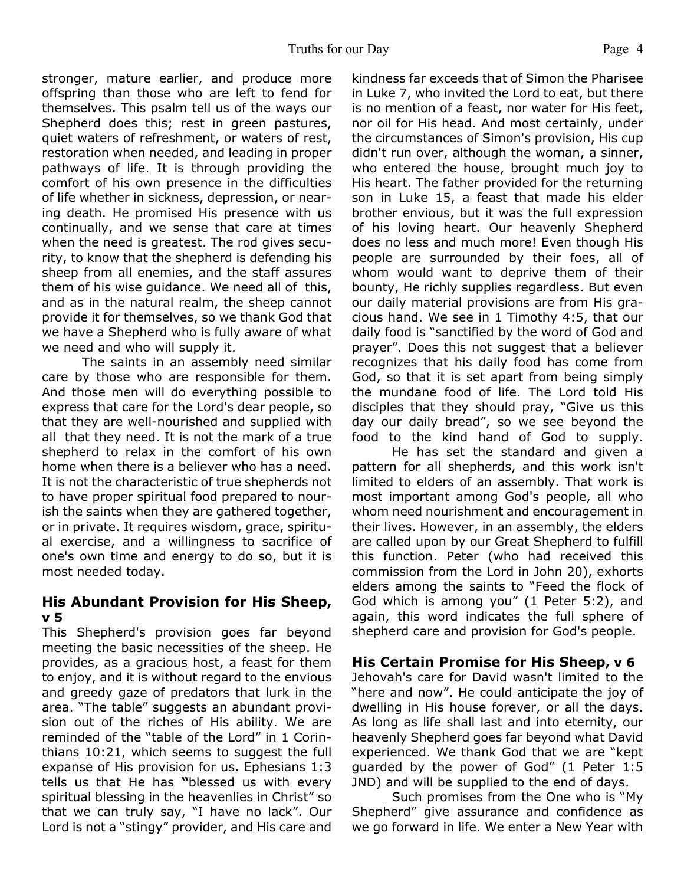stronger, mature earlier, and produce more offspring than those who are left to fend for themselves. This psalm tell us of the ways our Shepherd does this; rest in green pastures, quiet waters of refreshment, or waters of rest, restoration when needed, and leading in proper pathways of life. It is through providing the comfort of his own presence in the difficulties of life whether in sickness, depression, or nearing death. He promised His presence with us continually, and we sense that care at times when the need is greatest. The rod gives security, to know that the shepherd is defending his sheep from all enemies, and the staff assures them of his wise guidance. We need all of this, and as in the natural realm, the sheep cannot provide it for themselves, so we thank God that we have a Shepherd who is fully aware of what we need and who will supply it.

 The saints in an assembly need similar care by those who are responsible for them. And those men will do everything possible to express that care for the Lord's dear people, so that they are well-nourished and supplied with all that they need. It is not the mark of a true shepherd to relax in the comfort of his own home when there is a believer who has a need. It is not the characteristic of true shepherds not to have proper spiritual food prepared to nourish the saints when they are gathered together, or in private. It requires wisdom, grace, spiritual exercise, and a willingness to sacrifice of one's own time and energy to do so, but it is most needed today.

#### **His Abundant Provision for His Sheep, v 5**

This Shepherd's provision goes far beyond meeting the basic necessities of the sheep. He provides, as a gracious host, a feast for them to enjoy, and it is without regard to the envious and greedy gaze of predators that lurk in the area. "The table" suggests an abundant provision out of the riches of His ability. We are reminded of the "table of the Lord" in 1 Corinthians 10:21, which seems to suggest the full expanse of His provision for us. Ephesians 1:3 tells us that He has **"**blessed us with every spiritual blessing in the heavenlies in Christ" so that we can truly say, "I have no lack". Our Lord is not a "stingy" provider, and His care and

kindness far exceeds that of Simon the Pharisee in Luke 7, who invited the Lord to eat, but there is no mention of a feast, nor water for His feet, nor oil for His head. And most certainly, under the circumstances of Simon's provision, His cup didn't run over, although the woman, a sinner, who entered the house, brought much joy to His heart. The father provided for the returning son in Luke 15, a feast that made his elder brother envious, but it was the full expression of his loving heart. Our heavenly Shepherd does no less and much more! Even though His people are surrounded by their foes, all of whom would want to deprive them of their bounty, He richly supplies regardless. But even our daily material provisions are from His gracious hand. We see in 1 Timothy 4:5, that our daily food is "sanctified by the word of God and prayer". Does this not suggest that a believer recognizes that his daily food has come from God, so that it is set apart from being simply the mundane food of life. The Lord told His disciples that they should pray, "Give us this day our daily bread", so we see beyond the food to the kind hand of God to supply.

 He has set the standard and given a pattern for all shepherds, and this work isn't limited to elders of an assembly. That work is most important among God's people, all who whom need nourishment and encouragement in their lives. However, in an assembly, the elders are called upon by our Great Shepherd to fulfill this function. Peter (who had received this commission from the Lord in John 20), exhorts elders among the saints to "Feed the flock of God which is among you" (1 Peter 5:2), and again, this word indicates the full sphere of shepherd care and provision for God's people.

#### **His Certain Promise for His Sheep, v 6**

Jehovah's care for David wasn't limited to the "here and now". He could anticipate the joy of dwelling in His house forever, or all the days. As long as life shall last and into eternity, our heavenly Shepherd goes far beyond what David experienced. We thank God that we are "kept guarded by the power of God" (1 Peter 1:5 JND) and will be supplied to the end of days.

 Such promises from the One who is "My Shepherd" give assurance and confidence as we go forward in life. We enter a New Year with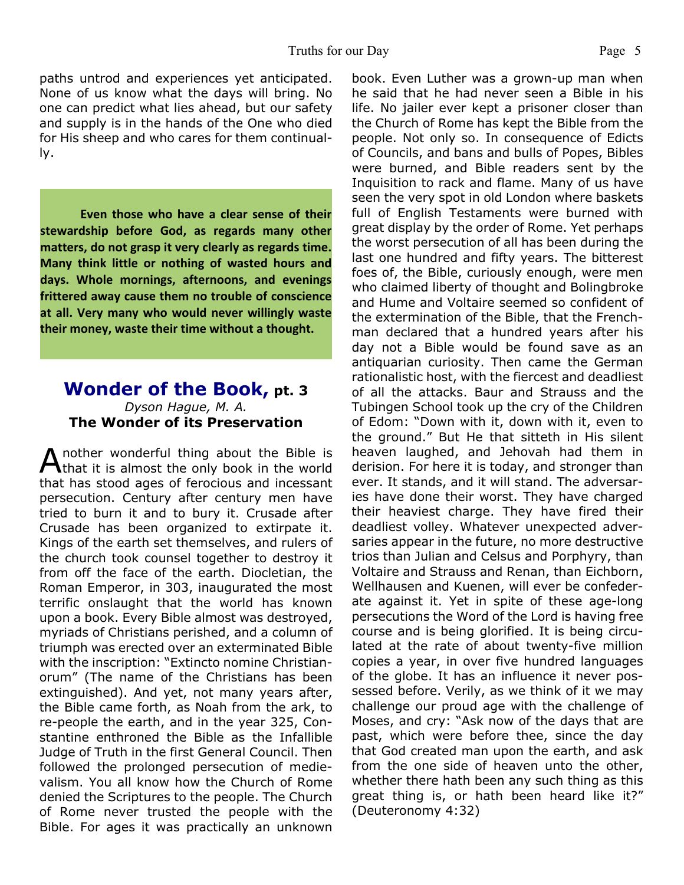paths untrod and experiences yet anticipated. None of us know what the days will bring. No one can predict what lies ahead, but our safety and supply is in the hands of the One who died for His sheep and who cares for them continually.

**Even those who have a clear sense of their stewardship before God, as regards many other matters, do not grasp it very clearly as regards time. Many think little or nothing of wasted hours and days. Whole mornings, afternoons, and evenings frittered away cause them no trouble of conscience at all. Very many who would never willingly waste their money, waste their time without a thought.**

#### **Wonder of the Book, pt. 3** *Dyson Hague, M. A.* **The Wonder of its Preservation**

Another wonderful thing about the Bible is<br>that it is almost the only book in the world that it is almost the only book in the world that has stood ages of ferocious and incessant persecution. Century after century men have tried to burn it and to bury it. Crusade after Crusade has been organized to extirpate it. Kings of the earth set themselves, and rulers of the church took counsel together to destroy it from off the face of the earth. Diocletian, the Roman Emperor, in 303, inaugurated the most terrific onslaught that the world has known upon a book. Every Bible almost was destroyed, myriads of Christians perished, and a column of triumph was erected over an exterminated Bible with the inscription: "Extincto nomine Christianorum" (The name of the Christians has been extinguished). And yet, not many years after, the Bible came forth, as Noah from the ark, to re-people the earth, and in the year 325, Constantine enthroned the Bible as the Infallible Judge of Truth in the first General Council. Then followed the prolonged persecution of medievalism. You all know how the Church of Rome denied the Scriptures to the people. The Church of Rome never trusted the people with the Bible. For ages it was practically an unknown book. Even Luther was a grown-up man when he said that he had never seen a Bible in his life. No jailer ever kept a prisoner closer than the Church of Rome has kept the Bible from the people. Not only so. In consequence of Edicts of Councils, and bans and bulls of Popes, Bibles were burned, and Bible readers sent by the Inquisition to rack and flame. Many of us have seen the very spot in old London where baskets full of English Testaments were burned with great display by the order of Rome. Yet perhaps the worst persecution of all has been during the last one hundred and fifty years. The bitterest foes of, the Bible, curiously enough, were men who claimed liberty of thought and Bolingbroke and Hume and Voltaire seemed so confident of the extermination of the Bible, that the Frenchman declared that a hundred years after his day not a Bible would be found save as an antiquarian curiosity. Then came the German rationalistic host, with the fiercest and deadliest of all the attacks. Baur and Strauss and the Tubingen School took up the cry of the Children of Edom: "Down with it, down with it, even to the ground." But He that sitteth in His silent heaven laughed, and Jehovah had them in derision. For here it is today, and stronger than ever. It stands, and it will stand. The adversaries have done their worst. They have charged their heaviest charge. They have fired their deadliest volley. Whatever unexpected adversaries appear in the future, no more destructive trios than Julian and Celsus and Porphyry, than Voltaire and Strauss and Renan, than Eichborn, Wellhausen and Kuenen, will ever be confederate against it. Yet in spite of these age-long persecutions the Word of the Lord is having free course and is being glorified. It is being circulated at the rate of about twenty-five million copies a year, in over five hundred languages of the globe. It has an influence it never possessed before. Verily, as we think of it we may challenge our proud age with the challenge of Moses, and cry: "Ask now of the days that are past, which were before thee, since the day that God created man upon the earth, and ask from the one side of heaven unto the other, whether there hath been any such thing as this great thing is, or hath been heard like it?" (Deuteronomy 4:32)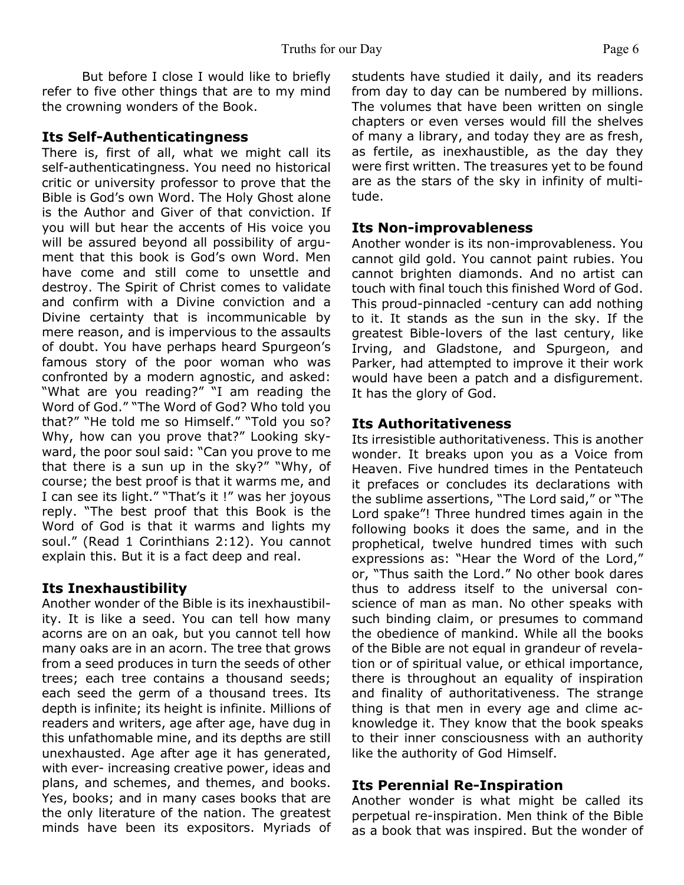But before I close I would like to briefly refer to five other things that are to my mind the crowning wonders of the Book.

#### **Its Self-Authenticatingness**

There is, first of all, what we might call its self-authenticatingness. You need no historical critic or university professor to prove that the Bible is God's own Word. The Holy Ghost alone is the Author and Giver of that conviction. If you will but hear the accents of His voice you will be assured beyond all possibility of argument that this book is God's own Word. Men have come and still come to unsettle and destroy. The Spirit of Christ comes to validate and confirm with a Divine conviction and a Divine certainty that is incommunicable by mere reason, and is impervious to the assaults of doubt. You have perhaps heard Spurgeon's famous story of the poor woman who was confronted by a modern agnostic, and asked: "What are you reading?" "I am reading the Word of God." "The Word of God? Who told you that?" "He told me so Himself." "Told you so? Why, how can you prove that?" Looking skyward, the poor soul said: "Can you prove to me that there is a sun up in the sky?" "Why, of course; the best proof is that it warms me, and I can see its light." "That's it !" was her joyous reply. "The best proof that this Book is the Word of God is that it warms and lights my soul." (Read 1 Corinthians 2:12). You cannot explain this. But it is a fact deep and real.

#### **Its Inexhaustibility**

Another wonder of the Bible is its inexhaustibility. It is like a seed. You can tell how many acorns are on an oak, but you cannot tell how many oaks are in an acorn. The tree that grows from a seed produces in turn the seeds of other trees; each tree contains a thousand seeds; each seed the germ of a thousand trees. Its depth is infinite; its height is infinite. Millions of readers and writers, age after age, have dug in this unfathomable mine, and its depths are still unexhausted. Age after age it has generated, with ever- increasing creative power, ideas and plans, and schemes, and themes, and books. Yes, books; and in many cases books that are the only literature of the nation. The greatest minds have been its expositors. Myriads of students have studied it daily, and its readers from day to day can be numbered by millions. The volumes that have been written on single chapters or even verses would fill the shelves of many a library, and today they are as fresh, as fertile, as inexhaustible, as the day they were first written. The treasures yet to be found are as the stars of the sky in infinity of multitude.

#### **Its Non-improvableness**

Another wonder is its non-improvableness. You cannot gild gold. You cannot paint rubies. You cannot brighten diamonds. And no artist can touch with final touch this finished Word of God. This proud-pinnacled -century can add nothing to it. It stands as the sun in the sky. If the greatest Bible-lovers of the last century, like Irving, and Gladstone, and Spurgeon, and Parker, had attempted to improve it their work would have been a patch and a disfigurement. It has the glory of God.

#### **Its Authoritativeness**

Its irresistible authoritativeness. This is another wonder. It breaks upon you as a Voice from Heaven. Five hundred times in the Pentateuch it prefaces or concludes its declarations with the sublime assertions, "The Lord said," or "The Lord spake"! Three hundred times again in the following books it does the same, and in the prophetical, twelve hundred times with such expressions as: "Hear the Word of the Lord," or, "Thus saith the Lord." No other book dares thus to address itself to the universal conscience of man as man. No other speaks with such binding claim, or presumes to command the obedience of mankind. While all the books of the Bible are not equal in grandeur of revelation or of spiritual value, or ethical importance, there is throughout an equality of inspiration and finality of authoritativeness. The strange thing is that men in every age and clime acknowledge it. They know that the book speaks to their inner consciousness with an authority like the authority of God Himself.

#### **Its Perennial Re-Inspiration**

Another wonder is what might be called its perpetual re-inspiration. Men think of the Bible as a book that was inspired. But the wonder of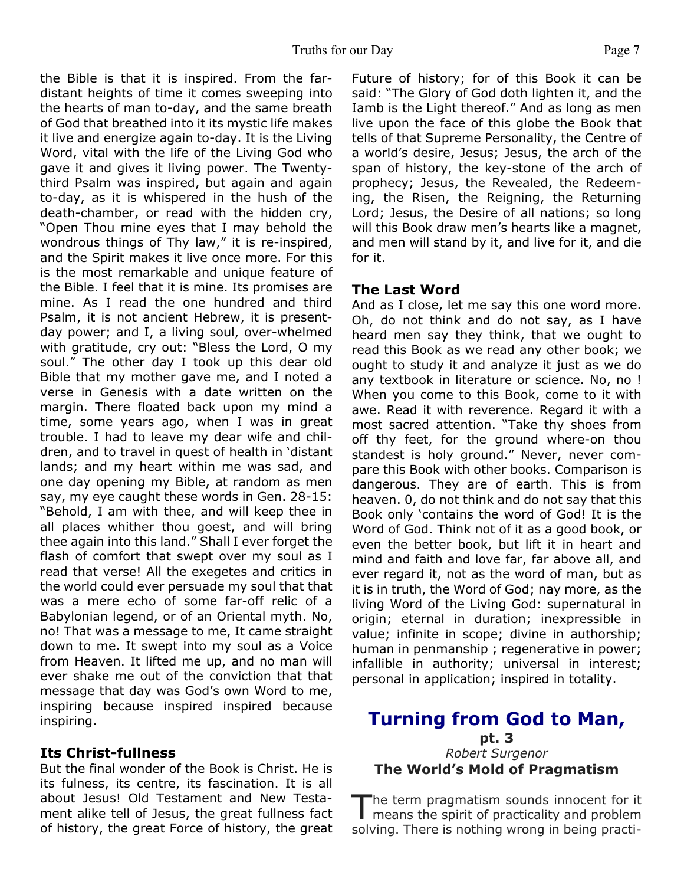the Bible is that it is inspired. From the fardistant heights of time it comes sweeping into the hearts of man to-day, and the same breath of God that breathed into it its mystic life makes it live and energize again to-day. It is the Living Word, vital with the life of the Living God who gave it and gives it living power. The Twentythird Psalm was inspired, but again and again to-day, as it is whispered in the hush of the death-chamber, or read with the hidden cry, "Open Thou mine eyes that I may behold the wondrous things of Thy law," it is re-inspired, and the Spirit makes it live once more. For this is the most remarkable and unique feature of the Bible. I feel that it is mine. Its promises are mine. As I read the one hundred and third Psalm, it is not ancient Hebrew, it is presentday power; and I, a living soul, over-whelmed with gratitude, cry out: "Bless the Lord, O my soul." The other day I took up this dear old Bible that my mother gave me, and I noted a verse in Genesis with a date written on the margin. There floated back upon my mind a time, some years ago, when I was in great trouble. I had to leave my dear wife and children, and to travel in quest of health in 'distant lands; and my heart within me was sad, and one day opening my Bible, at random as men say, my eye caught these words in Gen. 28-15: "Behold, I am with thee, and will keep thee in all places whither thou goest, and will bring thee again into this land." Shall I ever forget the flash of comfort that swept over my soul as I read that verse! All the exegetes and critics in the world could ever persuade my soul that that was a mere echo of some far-off relic of a Babylonian legend, or of an Oriental myth. No, no! That was a message to me, It came straight down to me. It swept into my soul as a Voice from Heaven. It lifted me up, and no man will ever shake me out of the conviction that that message that day was God's own Word to me, inspiring because inspired inspired because inspiring.

#### **Its Christ-fullness**

But the final wonder of the Book is Christ. He is its fulness, its centre, its fascination. It is all about Jesus! Old Testament and New Testament alike tell of Jesus, the great fullness fact of history, the great Force of history, the great Future of history; for of this Book it can be said: "The Glory of God doth lighten it, and the Iamb is the Light thereof." And as long as men live upon the face of this globe the Book that tells of that Supreme Personality, the Centre of a world's desire, Jesus; Jesus, the arch of the span of history, the key-stone of the arch of prophecy; Jesus, the Revealed, the Redeeming, the Risen, the Reigning, the Returning Lord; Jesus, the Desire of all nations; so long will this Book draw men's hearts like a magnet, and men will stand by it, and live for it, and die for it.

#### **The Last Word**

And as I close, let me say this one word more. Oh, do not think and do not say, as I have heard men say they think, that we ought to read this Book as we read any other book; we ought to study it and analyze it just as we do any textbook in literature or science. No, no ! When you come to this Book, come to it with awe. Read it with reverence. Regard it with a most sacred attention. "Take thy shoes from off thy feet, for the ground where-on thou standest is holy ground." Never, never compare this Book with other books. Comparison is dangerous. They are of earth. This is from heaven. 0, do not think and do not say that this Book only 'contains the word of God! It is the Word of God. Think not of it as a good book, or even the better book, but lift it in heart and mind and faith and love far, far above all, and ever regard it, not as the word of man, but as it is in truth, the Word of God; nay more, as the living Word of the Living God: supernatural in origin; eternal in duration; inexpressible in value; infinite in scope; divine in authorship; human in penmanship ; regenerative in power; infallible in authority; universal in interest; personal in application; inspired in totality.

#### **Turning from God to Man, pt. 3** *Robert Surgenor* **The World's Mold of Pragmatism**

T he term pragmatism sounds innocent for it means the spirit of practicality and problem solving. There is nothing wrong in being practi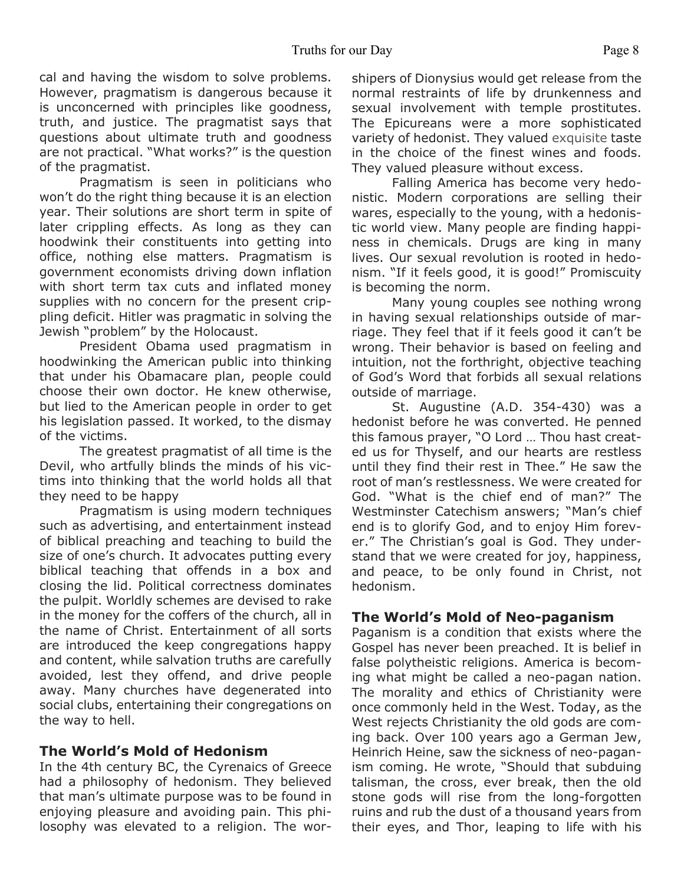cal and having the wisdom to solve problems. However, pragmatism is dangerous because it is unconcerned with principles like goodness, truth, and justice. The pragmatist says that questions about ultimate truth and goodness are not practical. "What works?" is the question of the pragmatist.

 Pragmatism is seen in politicians who won't do the right thing because it is an election year. Their solutions are short term in spite of later crippling effects. As long as they can hoodwink their constituents into getting into office, nothing else matters. Pragmatism is government economists driving down inflation with short term tax cuts and inflated money supplies with no concern for the present crippling deficit. Hitler was pragmatic in solving the Jewish "problem" by the Holocaust.

 President Obama used pragmatism in hoodwinking the American public into thinking that under his Obamacare plan, people could choose their own doctor. He knew otherwise, but lied to the American people in order to get his legislation passed. It worked, to the dismay of the victims.

 The greatest pragmatist of all time is the Devil, who artfully blinds the minds of his victims into thinking that the world holds all that they need to be happy

 Pragmatism is using modern techniques such as advertising, and entertainment instead of biblical preaching and teaching to build the size of one's church. It advocates putting every biblical teaching that offends in a box and closing the lid. Political correctness dominates the pulpit. Worldly schemes are devised to rake in the money for the coffers of the church, all in the name of Christ. Entertainment of all sorts are introduced the keep congregations happy and content, while salvation truths are carefully avoided, lest they offend, and drive people away. Many churches have degenerated into social clubs, entertaining their congregations on the way to hell.

#### **The World's Mold of Hedonism**

In the 4th century BC, the Cyrenaics of Greece had a philosophy of hedonism. They believed that man's ultimate purpose was to be found in enjoying pleasure and avoiding pain. This philosophy was elevated to a religion. The worshipers of Dionysius would get release from the normal restraints of life by drunkenness and sexual involvement with temple prostitutes. The Epicureans were a more sophisticated variety of hedonist. They valued exquisite taste in the choice of the finest wines and foods. They valued pleasure without excess.

 Falling America has become very hedonistic. Modern corporations are selling their wares, especially to the young, with a hedonistic world view. Many people are finding happiness in chemicals. Drugs are king in many lives. Our sexual revolution is rooted in hedonism. "If it feels good, it is good!" Promiscuity is becoming the norm.

 Many young couples see nothing wrong in having sexual relationships outside of marriage. They feel that if it feels good it can't be wrong. Their behavior is based on feeling and intuition, not the forthright, objective teaching of God's Word that forbids all sexual relations outside of marriage.

 St. Augustine (A.D. 354-430) was a hedonist before he was converted. He penned this famous prayer, "O Lord … Thou hast created us for Thyself, and our hearts are restless until they find their rest in Thee." He saw the root of man's restlessness. We were created for God. "What is the chief end of man?" The Westminster Catechism answers; "Man's chief end is to glorify God, and to enjoy Him forever." The Christian's goal is God. They understand that we were created for joy, happiness, and peace, to be only found in Christ, not hedonism.

#### **The World's Mold of Neo-paganism**

Paganism is a condition that exists where the Gospel has never been preached. It is belief in false polytheistic religions. America is becoming what might be called a neo-pagan nation. The morality and ethics of Christianity were once commonly held in the West. Today, as the West rejects Christianity the old gods are coming back. Over 100 years ago a German Jew, Heinrich Heine, saw the sickness of neo-paganism coming. He wrote, "Should that subduing talisman, the cross, ever break, then the old stone gods will rise from the long-forgotten ruins and rub the dust of a thousand years from their eyes, and Thor, leaping to life with his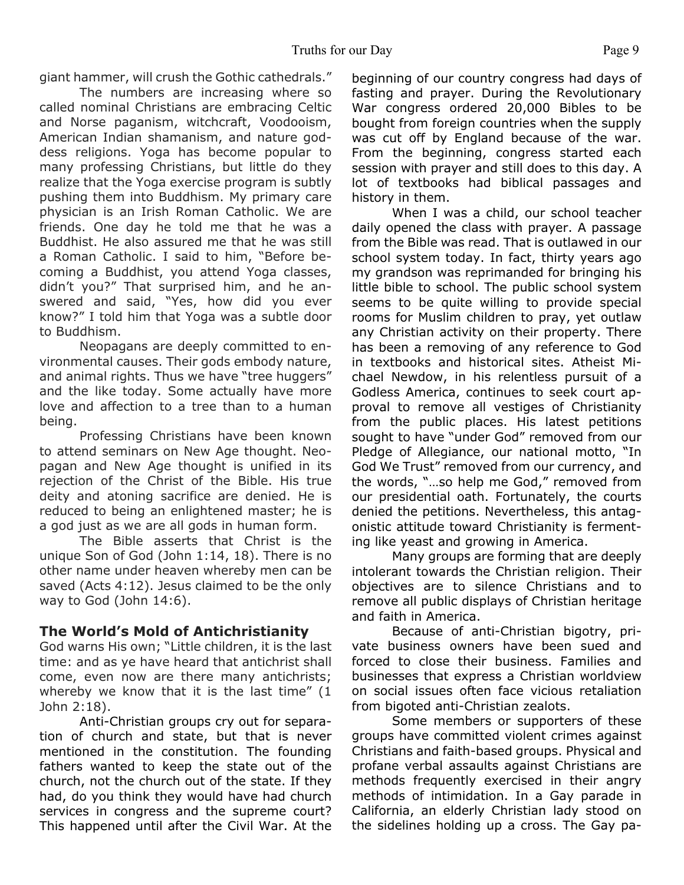giant hammer, will crush the Gothic cathedrals."

 The numbers are increasing where so called nominal Christians are embracing Celtic and Norse paganism, witchcraft, Voodooism, American Indian shamanism, and nature goddess religions. Yoga has become popular to many professing Christians, but little do they realize that the Yoga exercise program is subtly pushing them into Buddhism. My primary care physician is an Irish Roman Catholic. We are friends. One day he told me that he was a Buddhist. He also assured me that he was still a Roman Catholic. I said to him, "Before becoming a Buddhist, you attend Yoga classes, didn't you?" That surprised him, and he answered and said, "Yes, how did you ever know?" I told him that Yoga was a subtle door to Buddhism.

 Neopagans are deeply committed to environmental causes. Their gods embody nature, and animal rights. Thus we have "tree huggers" and the like today. Some actually have more love and affection to a tree than to a human being.

 Professing Christians have been known to attend seminars on New Age thought. Neopagan and New Age thought is unified in its rejection of the Christ of the Bible. His true deity and atoning sacrifice are denied. He is reduced to being an enlightened master; he is a god just as we are all gods in human form.

 The Bible asserts that Christ is the unique Son of God (John 1:14, 18). There is no other name under heaven whereby men can be saved (Acts 4:12). Jesus claimed to be the only way to God (John 14:6).

#### **The World's Mold of Antichristianity**

God warns His own; "Little children, it is the last time: and as ye have heard that antichrist shall come, even now are there many antichrists; whereby we know that it is the last time" (1) John 2:18).

 Anti-Christian groups cry out for separation of church and state, but that is never mentioned in the constitution. The founding fathers wanted to keep the state out of the church, not the church out of the state. If they had, do you think they would have had church services in congress and the supreme court? This happened until after the Civil War. At the

beginning of our country congress had days of fasting and prayer. During the Revolutionary War congress ordered 20,000 Bibles to be bought from foreign countries when the supply was cut off by England because of the war. From the beginning, congress started each session with prayer and still does to this day. A lot of textbooks had biblical passages and history in them.

 When I was a child, our school teacher daily opened the class with prayer. A passage from the Bible was read. That is outlawed in our school system today. In fact, thirty years ago my grandson was reprimanded for bringing his little bible to school. The public school system seems to be quite willing to provide special rooms for Muslim children to pray, yet outlaw any Christian activity on their property. There has been a removing of any reference to God in textbooks and historical sites. Atheist Michael Newdow, in his relentless pursuit of a Godless America, continues to seek court approval to remove all vestiges of Christianity from the public places. His latest petitions sought to have "under God" removed from our Pledge of Allegiance, our national motto, "In God We Trust" removed from our currency, and the words, "…so help me God," removed from our presidential oath. Fortunately, the courts denied the petitions. Nevertheless, this antagonistic attitude toward Christianity is fermenting like yeast and growing in America.

 Many groups are forming that are deeply intolerant towards the Christian religion. Their objectives are to silence Christians and to remove all public displays of Christian heritage and faith in America.

 Because of anti-Christian bigotry, private business owners have been sued and forced to close their business. Families and businesses that express a Christian worldview on social issues often face vicious retaliation from bigoted anti-Christian zealots.

 Some members or supporters of these groups have committed violent crimes against Christians and faith-based groups. Physical and profane verbal assaults against Christians are methods frequently exercised in their angry methods of intimidation. In a Gay parade in California, an elderly Christian lady stood on the sidelines holding up a cross. The Gay pa